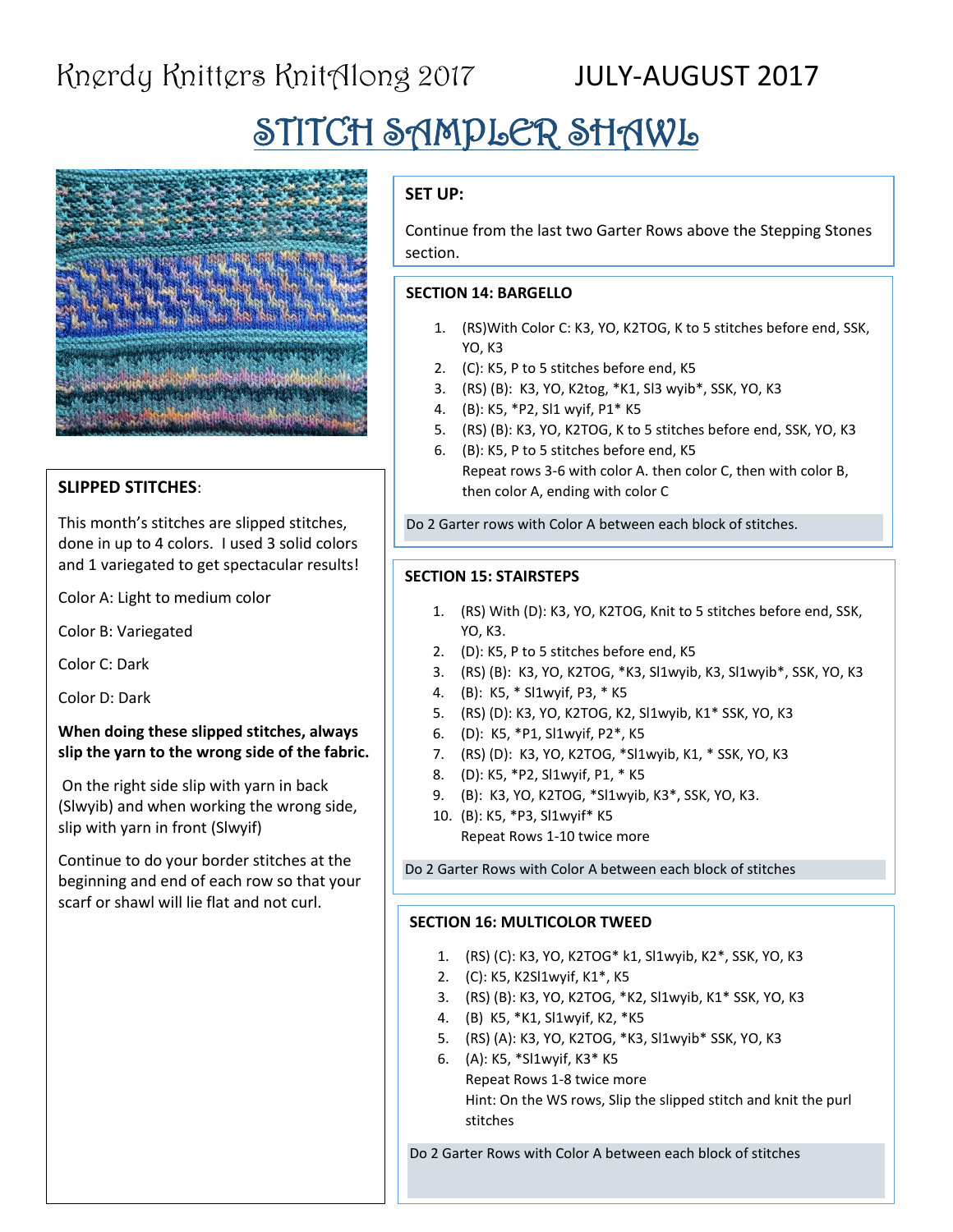# STITCH SAMPLER SHAWL



### **SLIPPED STITCHES**:

This month's stitches are slipped stitches, done in up to 4 colors. I used 3 solid colors and 1 variegated to get spectacular results!

Color A: Light to medium color

Color B: Variegated

Color C: Dark

Color D: Dark

#### **When doing these slipped stitches, always slip the yarn to the wrong side of the fabric.**

On the right side slip with yarn in back (Slwyib) and when working the wrong side, slip with yarn in front (Slwyif)

Continue to do your border stitches at the beginning and end of each row so that your scarf or shawl will lie flat and not curl.

### **SET UP:**

Continue from the last two Garter Rows above the Stepping Stones section.

### **SECTION 14: BARGELLO**

- 1. (RS)With Color C: K3, YO, K2TOG, K to 5 stitches before end, SSK, YO, K3
- 2. (C): K5, P to 5 stitches before end, K5
- 3. (RS) (B): K3, YO, K2tog, \*K1, Sl3 wyib\*, SSK, YO, K3
- 4. (B): K5, \*P2, Sl1 wyif, P1\* K5
- 5. (RS) (B): K3, YO, K2TOG, K to 5 stitches before end, SSK, YO, K3
- 6. (B): K5, P to 5 stitches before end, K5 Repeat rows 3-6 with color A. then color C, then with color B, then color A, ending with color C

Do 2 Garter rows with Color A between each block of stitches.

### **SECTION 15: STAIRSTEPS**

- 1. (RS) With (D): K3, YO, K2TOG, Knit to 5 stitches before end, SSK, YO, K3.
- 2. (D): K5, P to 5 stitches before end, K5
- 3. (RS) (B): K3, YO, K2TOG, \*K3, Sl1wyib, K3, Sl1wyib\*, SSK, YO, K3
- 4. (B): K5, \* Sl1wyif, P3, \* K5
- 5. (RS) (D): K3, YO, K2TOG, K2, Sl1wyib, K1\* SSK, YO, K3
- 6. (D): K5, \*P1, Sl1wyif, P2\*, K5
- 7. (RS) (D): K3, YO, K2TOG, \*Sl1wyib, K1, \* SSK, YO, K3
- 8. (D): K5, \*P2, Sl1wyif, P1, \* K5
- 9. (B): K3, YO, K2TOG, \*Sl1wyib, K3\*, SSK, YO, K3.
	- 10. (B): K5, \*P3, Sl1wyif\* K5 Repeat Rows 1-10 twice more

Do 2 Garter Rows with Color A between each block of stitches

#### **SECTION 16: MULTICOLOR TWEED**

- 1. (RS) (C): K3, YO, K2TOG\* k1, Sl1wyib, K2\*, SSK, YO, K3
- 2. (C): K5, K2Sl1wyif, K1\*, K5
- 3. (RS) (B): K3, YO, K2TOG, \*K2, Sl1wyib, K1\* SSK, YO, K3
- 4. (B) K5, \*K1, Sl1wyif, K2, \*K5
- 5. (RS) (A): K3, YO, K2TOG, \*K3, Sl1wyib\* SSK, YO, K3
- 6. (A): K5, \*Sl1wyif, K3\* K5 Repeat Rows 1-8 twice more Hint: On the WS rows, Slip the slipped stitch and knit the purl stitches

Do 2 Garter Rows with Color A between each block of stitches